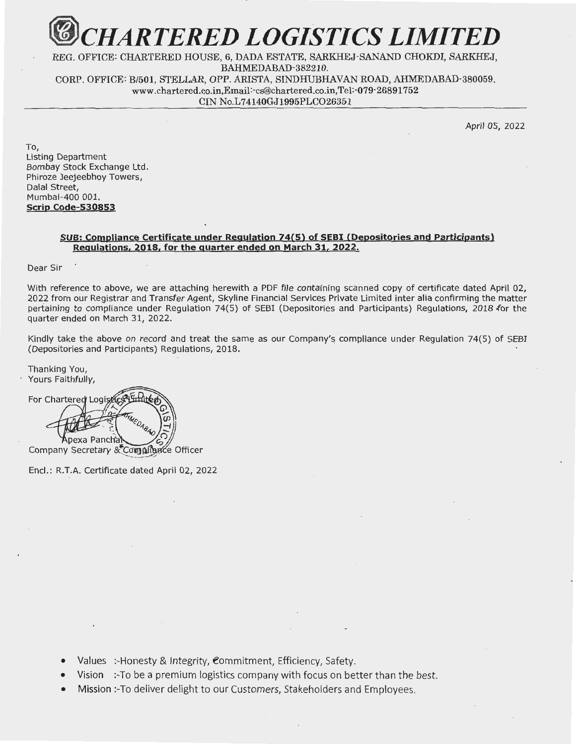

REG. OFFICE: CHARTERED HOUSE, 6, DADA ESTATE, SARKHEJ·SANAND CHOKDI, SARKHEJ, BAHMEDABAD-382210. CORP. OFFICE: B/501, STELLAR, OPP. ARISTA, SINDHUBHAVAN ROAD, AHMEDABAD-380059. www.chartered.co.in,Email:-cs@chartered.co.in,Tel:-o79-26891752 CIN No.L74140GJ1995PLC026351

April 05, 2022

To, Listing Department Bombay Stock Exchange Ltd. Phiroze Jeejeebhoy Towers, Dalal Street, Mumbai-400 001. **Scrip Code-530853** 

## **SUB: Compliance Certificate under Regulation 74(5) of SEBI (Depositories and Participants) Regulations, 2018, for the quarter ended on March 31, 2022.**

Dear Sir

With reference to above, we are attaching herewith a PDF file containing scanned copy of certificate dated April 02, 2022 from our Registrar and Transfer Agent, Skyline Financial Services Private Limited inter alia confirming the matter pertaining to compliance under Regulation 74(5) of SEBI (Depositories and Participants) Regulations, 2018 for the quarter ended on March 31, 2022.

Kindly take the above on record and treat the same as our Company's compliance under Regulation 74(5) of SEBI (Depositories and Participants) Regulations, 2018.

Thanking You, Yours Faithfully,

For Chartered Logișticș pexa Pancha Company Secretary & Compliance Officer

Encl.: R.T.A. Certificate dated April 02, 2022

- Values :-Honesty & Integrity, Commitment, Efficiency, Safety.
- Vision :-To be a premium logistics company with focus on better than the best.
- Mission :-To deliver delight to our Customers, Stakeholders and Employees.